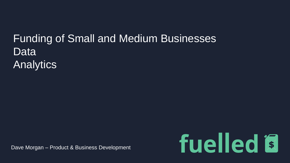## Funding of Small and Medium Businesses Data Analytics

Dave Morgan – Product & Business Development

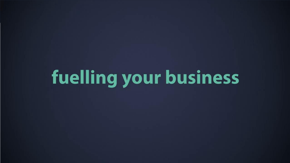fuelling your business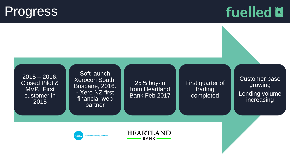## **Progress**

# fuelled<sup>®</sup>

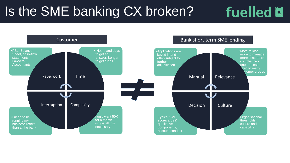## Is the SME banking CX broken?

# fuelled **B**

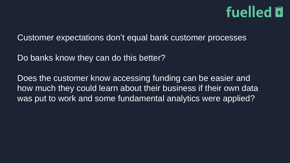# fuelled is

Customer expectations don't equal bank customer processes

Do banks know they can do this better?

Does the customer know accessing funding can be easier and how much they could learn about their business if their own data was put to work and some fundamental analytics were applied?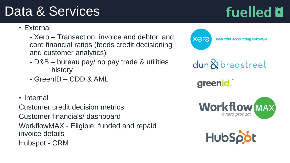## Data & Services

fuelled<sup>®</sup>

- External
	- Xero Transaction, invoice and debtor, and core financial ratios (feeds credit decisioning and customer analytics)
	- D&B bureau pay/ no pay trade & utilities history
	- GreenID CDD & AML
- Internal

Customer credit decision metrics Customer financials/ dashboard WorkflowMAX - Eligible, funded and repaid invoice details Hubspot - CRM



dun&bradstreet

greenid.



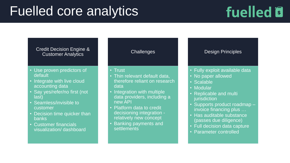## Fuelled core analytics

# fuelled<sup>®</sup>

#### Credit Decision Engine & Customer Analytics

- Use proven predictors of default
- Integrate with live cloud accounting data
- Say yes/refer/no first (not last)
- Seamless/invisible to customer
- Decision time quicker than banks
- Customer financials visualization/ dashboard

#### **Challenges**

#### • Trust

- Thin relevant default data, therefore reliant on research data
- Integration with multiple data providers, including a new API
- Platform data to credit decisioning integration relatively new concept
- Banking payments and **settlements**

#### Design Principles

- Fully exploit available data
- No paper allowed
- Scalable
- **Modular**
- Replicable and multi jurisdiction
- Supports product roadmap invoice financing plus …
- Has auditable substance (passes due diligence)
- Full decision data capture
- Parameter controlled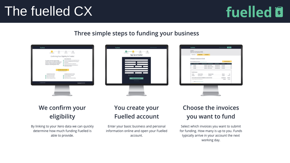## The fuelled CX

# fuelled<sup>®</sup>

### Three simple steps to funding your business



## We confirm your eligibility

By linking to your Xero data we can quickly determine how much funding Fuelled is able to provide.

## You create your **Fuelled account**

Enter your basic business and personal information online and open your Fuelled account.

## **Choose the invoices** you want to fund

Select which invoices you want to submit for funding. How many is up to you. Funds typically arrive in your account the next working day.